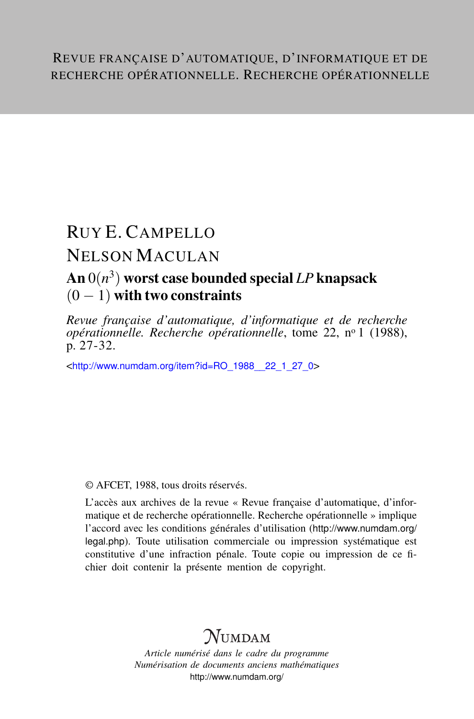# RUY E. CAMPELLO

## NELSON MACULAN

## An 0(*n* 3 ) worst case bounded special *LP* knapsack  $(0 - 1)$  with two constraints

*Revue française d'automatique, d'informatique et de recherche opérationnelle. Recherche opérationnelle*, tome 22, n<sup>o</sup> 1 (1988), p. 27-32.

<[http://www.numdam.org/item?id=RO\\_1988\\_\\_22\\_1\\_27\\_0](http://www.numdam.org/item?id=RO_1988__22_1_27_0)>

© AFCET, 1988, tous droits réservés.

L'accès aux archives de la revue « Revue française d'automatique, d'informatique et de recherche opérationnelle. Recherche opérationnelle » implique l'accord avec les conditions générales d'utilisation ([http://www.numdam.org/](http://www.numdam.org/legal.php) [legal.php](http://www.numdam.org/legal.php)). Toute utilisation commerciale ou impression systématique est constitutive d'une infraction pénale. Toute copie ou impression de ce fichier doit contenir la présente mention de copyright.

## $\gamma$ umdam

*Article numérisé dans le cadre du programme Numérisation de documents anciens mathématiques* <http://www.numdam.org/>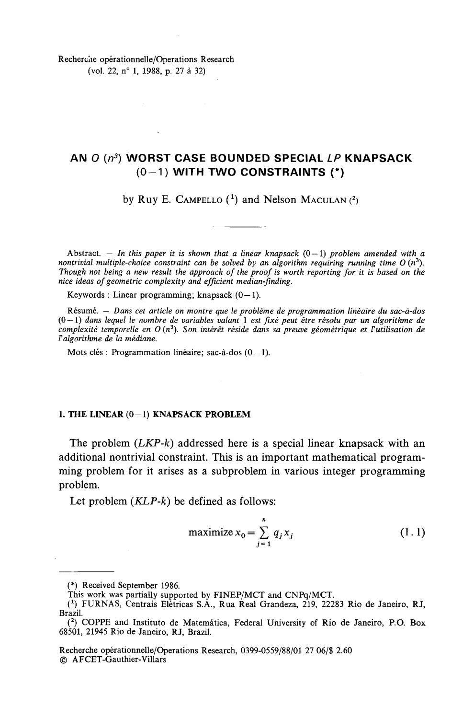Recherche opérationnelle/Operations Research

(vol. 22, n° 1, 1988, p. 27 à 32)

## **AN 0 (n<sup>3</sup> ) WORST CASE BOUNDED SPECIAL LP KNAPSACK (0-1) WITH TWO CONSTRAINTS (\*)**

by Ruy E. CAMPELLO  $(1)$  and Nelson MACULAN  $(2)$ 

Abstract.  $-$  In this paper it is shown that a linear knapsack  $(0 - 1)$  problem amended with a *nontrivial multiple-choice constraint can be solved by an algorithm requiring running time O* (n<sup>3</sup> ). *Though not being a new resuit the approach of the proof is worth reporting for it is based on the nice ideas of geometrie complexity and efficient median-jïnding.*

Keywords : Linear programming; knapsack  $(0-1)$ .

Résumé. — *Dans cet article on montre que le problème de programmation linéaire du sac-à-dos* (0—1) *dans lequel le nombre de variables valant* 1 *est fixé peut être résolu par un algorithme de complexité temporelle en O* (n<sup>3</sup> ). *Son intérêt réside dans sa preuve géométrique et Vutilisation de Falgorithme de la médiane.*

Mots clés : Programmation linéaire; sac-à-dos  $(0-1)$ .

### **1. THE LINEAR (0-1 ) KNAPSACK PROBLEM**

The problem *(LKP-k)* addressed here is a special linear knapsack with an additional nontrivial constraint. This is an important mathematical programming problem for it arises as a subproblem in various integer programming problem.

Let problem *(KLP-k)* be defined as follows:

$$
\text{maximize } x_0 = \sum_{j=1}^n q_j x_j \tag{1.1}
$$

Recherche opérationnelle/Operations Research, 0399-0559/88/01 27 06/\$ 2.60 © AFCET-Gauthier-Villars

<sup>(\*)</sup> Received September 1986.

This work was partially supported by FINEP/MCT and CNPq/MCT.

*<sup>(</sup> 1 )* FURNAS, Centrais Elétricas S.A., Rua Real Grandeza, 219, 22283 Rio de Janeiro, RJ, Brazil.

<sup>(</sup> 2 ) COPPE and Instituto de Matemâtica, Fédéral University of Rio de Janeiro, P.O. Box 68501, 21945 Rio de Janeiro, RJ, Brazil.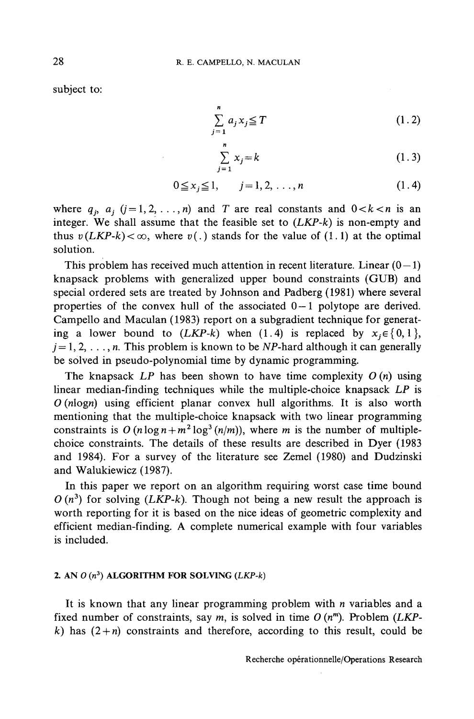subject to:

$$
\sum_{j=1}^{n} a_j x_j \leq T \tag{1.2}
$$

$$
\sum_{j=1}^{n} x_j = k \tag{1.3}
$$

$$
0 \le x_j \le 1, \qquad j = 1, 2, \dots, n \tag{1.4}
$$

where  $q_i$ ,  $a_i$ ,  $(j = 1,2, \ldots, n)$  and *T* are real constants and  $0 < k < n$  is an integer. We shall assume that the feasible set to *(LKP-k)* is non-empty and thus  $v(LKP-k) < \infty$ , where  $v(.)$  stands for the value of (1.1) at the optimal solution.

This problem has received much attention in recent literature. Linear  $(0-1)$ knapsack problems with generalized upper bound constraints (GUB) and special ordered sets are treated by Johnson and Padberg (1981) where several properties of the convex hull of the associated  $0-1$  polytope are derived. Campello and Maculan (1983) report on a subgradient technique for generating a lower bound to  $(LKP-k)$  when  $(1.4)$  is replaced by  $x_i \in \{0,1\}$ ,  $j=1,2,\ldots,n$ . This problem is known to be NP-hard although it can generally be solved in pseudo-polynomial time by dynamic programming.

The knapsack *LP* has been shown to have time complexity *O (n)* using linear median-finding techniques while the multiple-choice knapsack *LP* is *O (nlogri)* using efficient planar convex huil algorithms. It is also worth mentioning that the multiple-choice knapsack with two linear programming constraints is  $O(n \log n + m^2 \log^3(n/m))$ , where *m* is the number of multiplechoice constraints. The details of these results are described in Dyer (1983 and 1984). For a survey of the literature see Zemel (1980) and Dudzinski and Walukiewicz (1987).

In this paper we report on an algorithm requiring worst case time bound  $O(n^3)$  for solving (*LKP-k*). Though not being a new result the approach is worth reporting for it is based on the nice ideas of geometrie complexity and efficient median-finding. A complete numerical example with four variables is included.

### **2. AN O** *(n<sup>3</sup> )* **ALGORITHM FOR SOLVING** *(LKP-k)*

It is known that any linear programming problem with *n* variables and a fixed number of constraints, say  $m$ , is solved in time  $O(n^m)$ . Problem (LKP*k*) has  $(2+n)$  constraints and therefore, according to this result, could be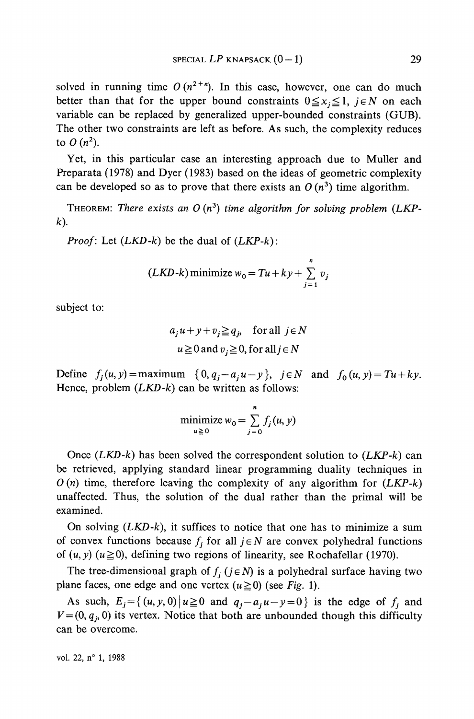solved in running time  $O(n^{2+n})$ . In this case, however, one can do much better than that for the upper bound constraints  $0 \le x_i \le 1$ ,  $j \in N$  on each variable can be replaced by generalized upper-bounded constraints (GUB). The other two constraints are left as before. As such, the complexity reduces to  $O(n^2)$ .

Yet, in this particular case an interesting approach due to Muller and Preparata (1978) and Dyer (1983) based on the ideas of geometrie complexity can be developed so as to prove that there exists an  $O(n^3)$  time algorithm.

THEOREM: There exists an O (n<sup>3</sup>) time algorithm for solving problem (LKP*k).*

*Proof:* Let *{LKD-k)* be the dual of *(LKP-k):*

$$
(LKD-k)\text{ minimize } w_0 = Tu + ky + \sum_{j=1}^{n} v_j
$$

subject to:

$$
a_j u + y + v_j \geq q_j
$$
, for all  $j \in N$   
 $u \geq 0$  and  $v_j \geq 0$ , for all  $j \in N$ 

Define  $f_i(u, y) = \text{maximum } \{0, q_i - a_i u - y\}$ ,  $j \in N$  and  $f_0(u, y) = Tu + ky$ . Hence, problem *{LKD-k)* can be written as follows:

$$
\underset{u \geq 0}{\text{minimize}} w_0 = \sum_{j=0}^{n} f_j(u, y)
$$

Once *{LKD-k)* has been solved the correspondent solution to *{LKP-k)* can be retrieved, applying standard linear programming duality techniques in *0{n)* time, therefore leaving the complexity of any algorithm for *{LKP-k)* unaffected. Thus, the solution of the dual rather than the primai will be examined.

On solving *{LKD-k),* it suffices to notice that one has to minimize a sum of convex functions because  $f_j$  for all  $j \in N$  are convex polyhedral functions of  $(u, y)$   $(u \ge 0)$ , defining two regions of linearity, see Rochafellar (1970).

The tree-dimensional graph of  $f_j$  ( $j \in N$ ) is a polyhedral surface having two plane faces, one edge and one vertex  $(u \ge 0)$  (see Fig. 1).

As such,  $E_j = \{(u, y, 0) | u \ge 0 \text{ and } q_j - a_j u - y = 0\}$  is the edge of  $f_j$  and  $V = (0, q_i, 0)$  its vertex. Notice that both are unbounded though this difficulty can be overcome.

vol. 22, n° 1, 1988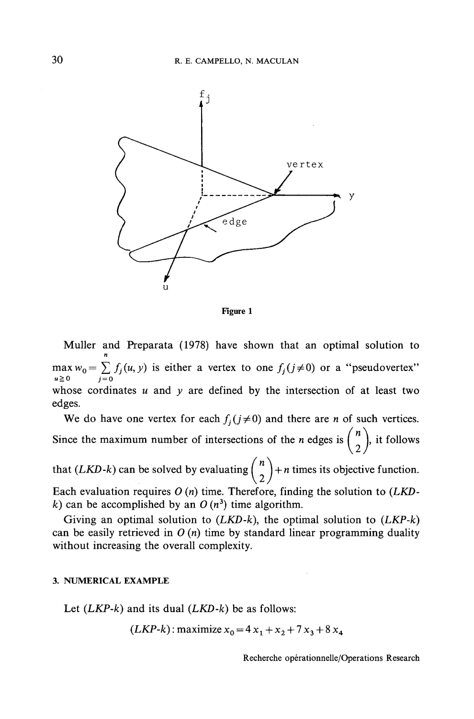

Figure l

Muller and Preparata (1978) have shown that an optimal solution to max  $w_0 = \sum_{j=0} f_j(u, y)$  is either a vertex to one  $f_j(j \neq 0)$  or a "pseudovertex" whose cordinates *u* and *y* are defined by the intersection of at least two edges.

We do have one vertex for each  $f_i(j\neq0)$  and there are *n* of such vertices. Since the maximum number of intersections of the *n* edges is  $\binom{n}{2}$ , it follows

that (*LKD-k*) can be solved by evaluating  $\binom{n}{2}$  + *n* times its objective function. Each évaluation requires *O (n)* time. Therefore, finding the solution to *(LKD* $k$ ) can be accomplished by an  $O(n^3)$  time algorithm.

Giving an optimal solution to *(LKD-k\* the optimal solution to *(LKP-k)* can be easily retrieved in *O (n)* time by standard linear programming duality without increasing the overall complexity.

### 3. NUMERICAL EXAMPLE

Let *(LKP-k)* and its dual *(LKD-k)* be as follows:

$$
(LKP-k): \text{maximize } x_0 = 4x_1 + x_2 + 7x_3 + 8x_4
$$

Recherche opérationnelle/Operations Research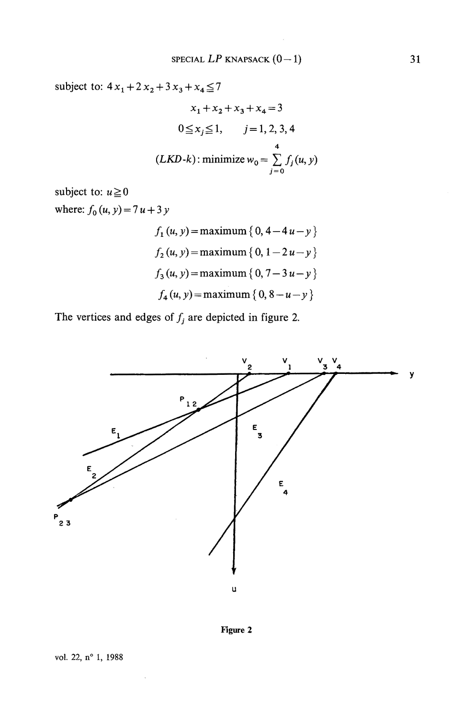subject to:  $4x_1 + 2x_2 + 3x_3 + x_4 \le 7$ 

$$
x_1 + x_2 + x_3 + x_4 = 3
$$
  
0 \le x<sub>j</sub> \le 1, j = 1, 2, 3, 4  
(*LKD-k*): minimize  $w_0 = \sum_{j=0}^{4} f_j(u, y)$ 

subject to:  $u \ge 0$ where:  $f_0(u, y) = 7u + 3y$ 

$$
f_1 (u, y) = \text{maximum} \{0, 4 - 4u - y \}
$$
  

$$
f_2 (u, y) = \text{maximum} \{0, 1 - 2u - y \}
$$
  

$$
f_3 (u, y) = \text{maximum} \{0, 7 - 3u - y \}
$$
  

$$
f_4 (u, y) = \text{maximum} \{0, 8 - u - y \}
$$

The vertices and edges of  $f_j$  are depicted in figure 2.